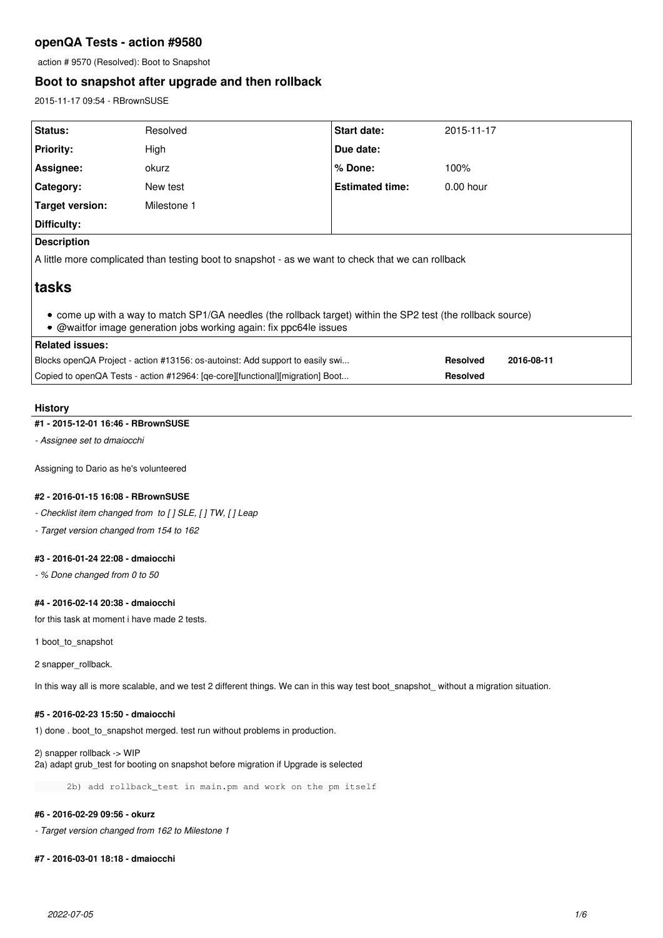# **openQA Tests - action #9580**

action # 9570 (Resolved): Boot to Snapshot

# **Boot to snapshot after upgrade and then rollback**

2015-11-17 09:54 - RBrownSUSE

| Status:                                                                                                                                                                            | Resolved    | <b>Start date:</b>     | 2015-11-17                    |
|------------------------------------------------------------------------------------------------------------------------------------------------------------------------------------|-------------|------------------------|-------------------------------|
| <b>Priority:</b>                                                                                                                                                                   | High        | Due date:              |                               |
| Assignee:                                                                                                                                                                          | okurz       | % Done:                | 100%                          |
| Category:                                                                                                                                                                          | New test    | <b>Estimated time:</b> | $0.00$ hour                   |
| Target version:                                                                                                                                                                    | Milestone 1 |                        |                               |
| Difficulty:                                                                                                                                                                        |             |                        |                               |
| <b>Description</b>                                                                                                                                                                 |             |                        |                               |
| A little more complicated than testing boot to snapshot - as we want to check that we can rollback                                                                                 |             |                        |                               |
| ∣tasks                                                                                                                                                                             |             |                        |                               |
| • come up with a way to match SP1/GA needles (the rollback target) within the SP2 test (the rollback source)<br>• @waitfor image generation jobs working again: fix ppc64le issues |             |                        |                               |
| <b>Related issues:</b>                                                                                                                                                             |             |                        |                               |
| Blocks openQA Project - action #13156: os-autoinst: Add support to easily swi                                                                                                      |             |                        | <b>Resolved</b><br>2016-08-11 |
| Copied to openQA Tests - action #12964: [qe-core][functional][migration] Boot                                                                                                      |             | <b>Resolved</b>        |                               |

# **History**

### **#1 - 2015-12-01 16:46 - RBrownSUSE**

*- Assignee set to dmaiocchi*

Assigning to Dario as he's volunteered

### **#2 - 2016-01-15 16:08 - RBrownSUSE**

*- Checklist item changed from to [ ] SLE, [ ] TW, [ ] Leap*

*- Target version changed from 154 to 162*

### **#3 - 2016-01-24 22:08 - dmaiocchi**

*- % Done changed from 0 to 50*

# **#4 - 2016-02-14 20:38 - dmaiocchi**

for this task at moment i have made 2 tests.

1 boot to snapshot

2 snapper\_rollback.

In this way all is more scalable, and we test 2 different things. We can in this way test boot\_snapshot\_ without a migration situation.

# **#5 - 2016-02-23 15:50 - dmaiocchi**

1) done . boot\_to\_snapshot merged. test run without problems in production.

2) snapper rollback -> WIP 2a) adapt grub\_test for booting on snapshot before migration if Upgrade is selected

2b) add rollback\_test in main.pm and work on the pm itself

# **#6 - 2016-02-29 09:56 - okurz**

*- Target version changed from 162 to Milestone 1*

**#7 - 2016-03-01 18:18 - dmaiocchi**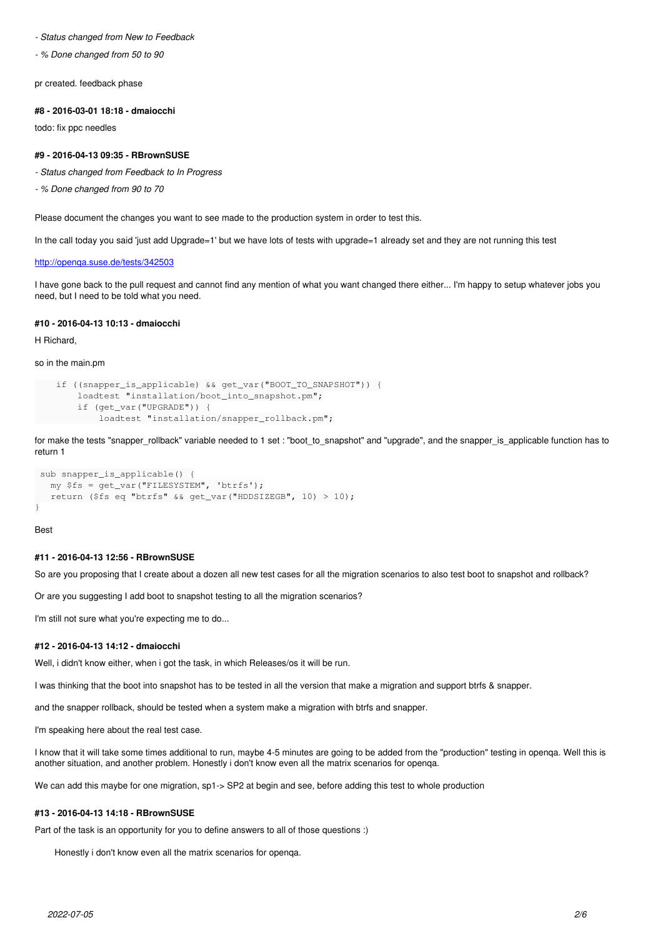#### *- Status changed from New to Feedback*

*- % Done changed from 50 to 90*

pr created. feedback phase

#### **#8 - 2016-03-01 18:18 - dmaiocchi**

todo: fix ppc needles

### **#9 - 2016-04-13 09:35 - RBrownSUSE**

- *Status changed from Feedback to In Progress*
- *% Done changed from 90 to 70*

Please document the changes you want to see made to the production system in order to test this.

In the call today you said 'just add Upgrade=1' but we have lots of tests with upgrade=1 already set and they are not running this test

#### <http://openqa.suse.de/tests/342503>

I have gone back to the pull request and cannot find any mention of what you want changed there either... I'm happy to setup whatever jobs you need, but I need to be told what you need.

### **#10 - 2016-04-13 10:13 - dmaiocchi**

H Richard,

### so in the main.pm

```
    if ((snapper_is_applicable) && get_var("BOOT_TO_SNAPSHOT")) {
            loadtest "installation/boot_into_snapshot.pm";
            if (get_var("UPGRADE")) {
                     loadtest "installation/snapper_rollback.pm";
```
for make the tests "snapper rollback" variable needed to 1 set : "boot to snapshot" and "upgrade", and the snapper is applicable function has to return 1

```
 sub snapper_is_applicable() {
  my $fs = qet var("FILESYSTEM", 'btrfs');   return ($fs eq "btrfs" && get_var("HDDSIZEGB", 10) > 10);
}
```
Best

#### **#11 - 2016-04-13 12:56 - RBrownSUSE**

So are you proposing that I create about a dozen all new test cases for all the migration scenarios to also test boot to snapshot and rollback?

Or are you suggesting I add boot to snapshot testing to all the migration scenarios?

I'm still not sure what you're expecting me to do...

#### **#12 - 2016-04-13 14:12 - dmaiocchi**

Well, i didn't know either, when i got the task, in which Releases/os it will be run.

I was thinking that the boot into snapshot has to be tested in all the version that make a migration and support btrfs & snapper.

and the snapper rollback, should be tested when a system make a migration with btrfs and snapper.

I'm speaking here about the real test case.

I know that it will take some times additional to run, maybe 4-5 minutes are going to be added from the "production" testing in openqa. Well this is another situation, and another problem. Honestly i don't know even all the matrix scenarios for openqa.

We can add this maybe for one migration, sp1-> SP2 at begin and see, before adding this test to whole production

# **#13 - 2016-04-13 14:18 - RBrownSUSE**

Part of the task is an opportunity for you to define answers to all of those questions :)

Honestly i don't know even all the matrix scenarios for openqa.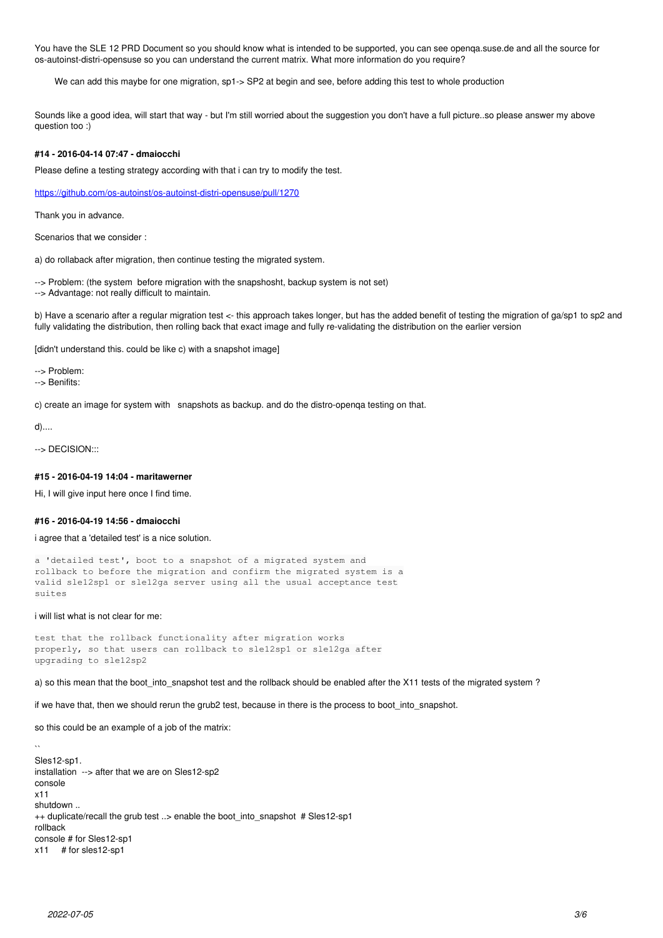You have the SLE 12 PRD Document so you should know what is intended to be supported, you can see openqa.suse.de and all the source for os-autoinst-distri-opensuse so you can understand the current matrix. What more information do you require?

We can add this maybe for one migration, sp1-> SP2 at begin and see, before adding this test to whole production

Sounds like a good idea, will start that way - but I'm still worried about the suggestion you don't have a full picture..so please answer my above question too :)

# **#14 - 2016-04-14 07:47 - dmaiocchi**

Please define a testing strategy according with that i can try to modify the test.

<https://github.com/os-autoinst/os-autoinst-distri-opensuse/pull/1270>

Thank you in advance.

Scenarios that we consider :

a) do rollaback after migration, then continue testing the migrated system.

--> Problem: (the system before migration with the snapshosht, backup system is not set) --> Advantage: not really difficult to maintain.

b) Have a scenario after a regular migration test <- this approach takes longer, but has the added benefit of testing the migration of ga/sp1 to sp2 and fully validating the distribution, then rolling back that exact image and fully re-validating the distribution on the earlier version

[didn't understand this. could be like c) with a snapshot image]

--> Problem: --> Benifits:

c) create an image for system with snapshots as backup. and do the distro-openqa testing on that.

d)....

--> DECISION:::

### **#15 - 2016-04-19 14:04 - maritawerner**

Hi, I will give input here once I find time.

#### **#16 - 2016-04-19 14:56 - dmaiocchi**

i agree that a 'detailed test' is a nice solution.

```
a 'detailed test', boot to a snapshot of a migrated system and
rollback to before the migration and confirm the migrated system is a
valid sle12sp1 or sle12ga server using all the usual acceptance test
suites
```
#### i will list what is not clear for me:

```
test that the rollback functionality after migration works
properly, so that users can rollback to sle12sp1 or sle12ga after
upgrading to sle12sp2
```
a) so this mean that the boot into snapshot test and the rollback should be enabled after the X11 tests of the migrated system ?

if we have that, then we should rerun the grub2 test, because in there is the process to boot\_into\_snapshot.

so this could be an example of a job of the matrix:

```
Sles12-sp1.
installation --> after that we are on Sles12-sp2
console
x11
shutdown ..
++ duplicate/recall the grub test ..> enable the boot into snapshot # Sles12-sp1
rollback
console # for Sles12-sp1
x11 # for sles12-sp1
```
 $\ddotsc$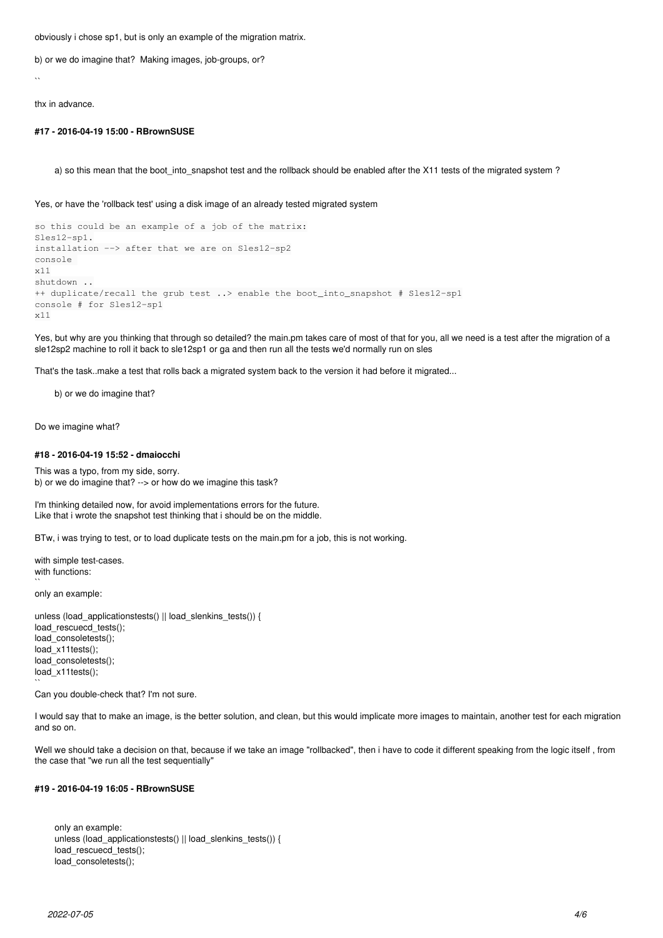obviously i chose sp1, but is only an example of the migration matrix.

b) or we do imagine that? Making images, job-groups, or?

 $\ddot{\phantom{0}}$ 

thx in advance.

### **#17 - 2016-04-19 15:00 - RBrownSUSE**

a) so this mean that the boot\_into\_snapshot test and the rollback should be enabled after the X11 tests of the migrated system ?

Yes, or have the 'rollback test' using a disk image of an already tested migrated system

```
so this could be an example of a job of the matrix:
Sles12-sp1.
installation --> after that we are on Sles12-sp2
console 
x11
shutdown ..
++ duplicate/recall the grub test ..> enable the boot_into_snapshot # Sles12-sp1
console # for Sles12-sp1
x11
```
Yes, but why are you thinking that through so detailed? the main.pm takes care of most of that for you, all we need is a test after the migration of a sle12sp2 machine to roll it back to sle12sp1 or ga and then run all the tests we'd normally run on sles

That's the task..make a test that rolls back a migrated system back to the version it had before it migrated...

b) or we do imagine that?

Do we imagine what?

### **#18 - 2016-04-19 15:52 - dmaiocchi**

This was a typo, from my side, sorry. b) or we do imagine that? --> or how do we imagine this task?

I'm thinking detailed now, for avoid implementations errors for the future. Like that i wrote the snapshot test thinking that i should be on the middle.

BTw, i was trying to test, or to load duplicate tests on the main.pm for a job, this is not working.

with simple test-cases. with functions:

only an example:

 $\ddot{\phantom{0}}$ 

unless (load\_applicationstests() || load\_slenkins\_tests()) { load\_rescuecd\_tests(); load\_consoletests(); load\_x11tests(); load\_consoletests(); load\_x11tests();  $\ddot{\phantom{0}}$ 

Can you double-check that? I'm not sure.

I would say that to make an image, is the better solution, and clean, but this would implicate more images to maintain, another test for each migration and so on.

Well we should take a decision on that, because if we take an image "rollbacked", then i have to code it different speaking from the logic itself , from the case that "we run all the test sequentially"

# **#19 - 2016-04-19 16:05 - RBrownSUSE**

only an example: unless (load\_applicationstests() || load\_slenkins\_tests()) { load rescuecd tests(); load\_consoletests();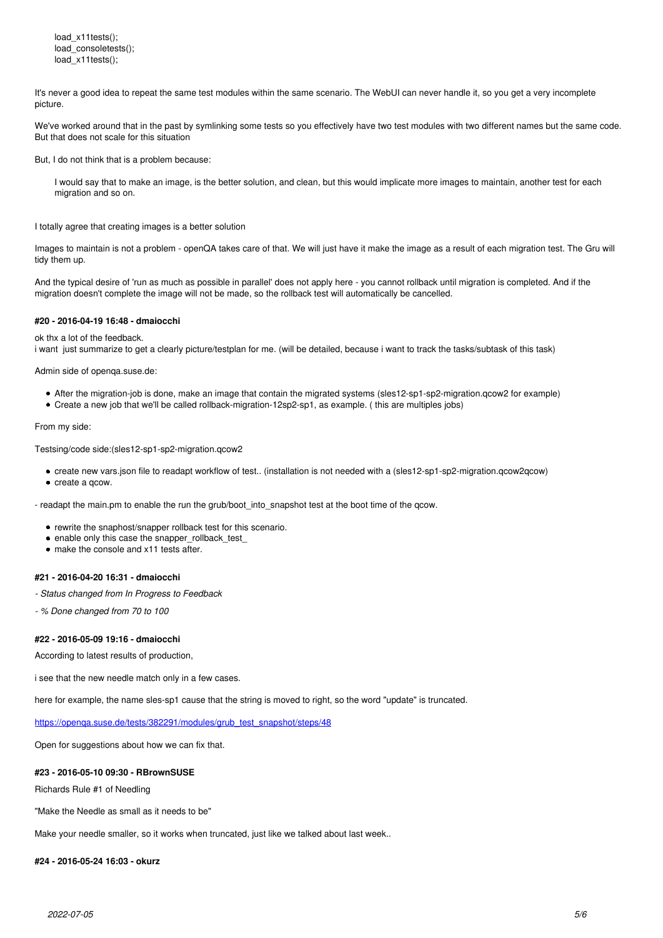load\_x11tests(); load\_consoletests(); load\_x11tests();

It's never a good idea to repeat the same test modules within the same scenario. The WebUI can never handle it, so you get a very incomplete picture.

We've worked around that in the past by symlinking some tests so you effectively have two test modules with two different names but the same code. But that does not scale for this situation

But, I do not think that is a problem because:

I would say that to make an image, is the better solution, and clean, but this would implicate more images to maintain, another test for each migration and so on.

I totally agree that creating images is a better solution

Images to maintain is not a problem - openQA takes care of that. We will just have it make the image as a result of each migration test. The Gru will tidy them up.

And the typical desire of 'run as much as possible in parallel' does not apply here - you cannot rollback until migration is completed. And if the migration doesn't complete the image will not be made, so the rollback test will automatically be cancelled.

#### **#20 - 2016-04-19 16:48 - dmaiocchi**

ok thx a lot of the feedback.

i want just summarize to get a clearly picture/testplan for me. (will be detailed, because i want to track the tasks/subtask of this task)

Admin side of openqa.suse.de:

- After the migration-job is done, make an image that contain the migrated systems (sles12-sp1-sp2-migration.qcow2 for example)
- Create a new job that we'll be called rollback-migration-12sp2-sp1, as example. ( this are multiples jobs)

From my side:

Testsing/code side:(sles12-sp1-sp2-migration.qcow2

- create new vars.json file to readapt workflow of test.. (installation is not needed with a (sles12-sp1-sp2-migration.qcow2qcow)
- create a gcow.

- readapt the main.pm to enable the run the grub/boot\_into\_snapshot test at the boot time of the qcow.

- rewrite the snaphost/snapper rollback test for this scenario.
- enable only this case the snapper\_rollback\_test
- make the console and x11 tests after.

### **#21 - 2016-04-20 16:31 - dmaiocchi**

- *Status changed from In Progress to Feedback*
- *% Done changed from 70 to 100*

# **#22 - 2016-05-09 19:16 - dmaiocchi**

According to latest results of production,

i see that the new needle match only in a few cases.

here for example, the name sles-sp1 cause that the string is moved to right, so the word "update" is truncated.

https://openga.suse.de/tests/382291/modules/grub\_test\_snapshot/steps/48

Open for suggestions about how we can fix that.

### **#23 - 2016-05-10 09:30 - RBrownSUSE**

Richards Rule #1 of Needling

"Make the Needle as small as it needs to be"

Make your needle smaller, so it works when truncated, just like we talked about last week..

#### **#24 - 2016-05-24 16:03 - okurz**